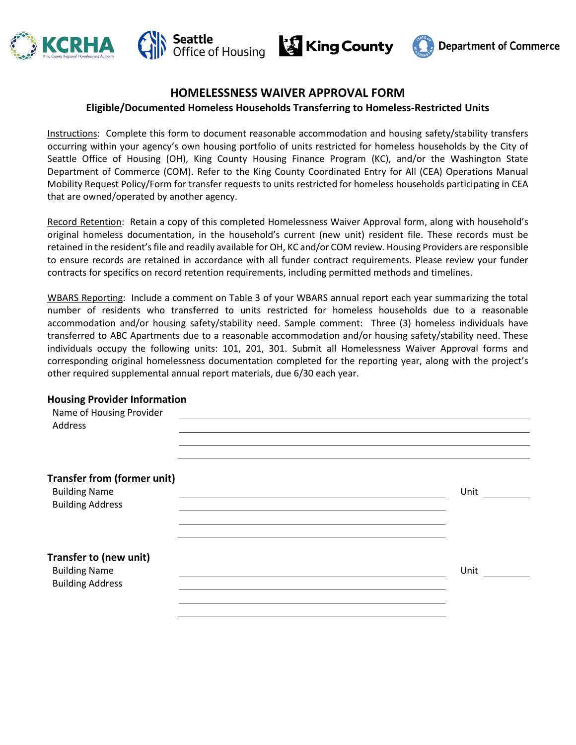







# **HOMELESSNESS WAIVER APPROVAL FORM**

### **Eligible/Documented Homeless Households Transferring to Homeless-Restricted Units**

Instructions: Complete this form to document reasonable accommodation and housing safety/stability transfers occurring within your agency's own housing portfolio of units restricted for homeless households by the City of Seattle Office of Housing (OH), King County Housing Finance Program (KC), and/or the Washington State Department of Commerce (COM). Refer to the King County Coordinated Entry for All (CEA) Operations Manual Mobility Request Policy/Form for transfer requests to units restricted for homeless households participating in CEA that are owned/operated by another agency.

Record Retention: Retain a copy of this completed Homelessness Waiver Approval form, along with household's original homeless documentation, in the household's current (new unit) resident file. These records must be retained in the resident's file and readily available for OH, KC and/or COM review. Housing Providers are responsible to ensure records are retained in accordance with all funder contract requirements. Please review your funder contracts for specifics on record retention requirements, including permitted methods and timelines.

WBARS Reporting: Include a comment on Table 3 of your WBARS annual report each year summarizing the total number of residents who transferred to units restricted for homeless households due to a reasonable accommodation and/or housing safety/stability need. Sample comment: Three (3) homeless individuals have transferred to ABC Apartments due to a reasonable accommodation and/or housing safety/stability need. These individuals occupy the following units: 101, 201, 301. Submit all Homelessness Waiver Approval forms and corresponding original homelessness documentation completed for the reporting year, along with the project's other required supplemental annual report materials, due 6/30 each year.

#### **Housing Provider Information**

| Name of Housing Provider<br>Address |      |
|-------------------------------------|------|
|                                     |      |
| <b>Transfer from (former unit)</b>  |      |
| <b>Building Name</b>                | Unit |
| <b>Building Address</b>             |      |
|                                     |      |
| Transfer to (new unit)              |      |
| <b>Building Name</b>                | Unit |
| <b>Building Address</b>             |      |
|                                     |      |